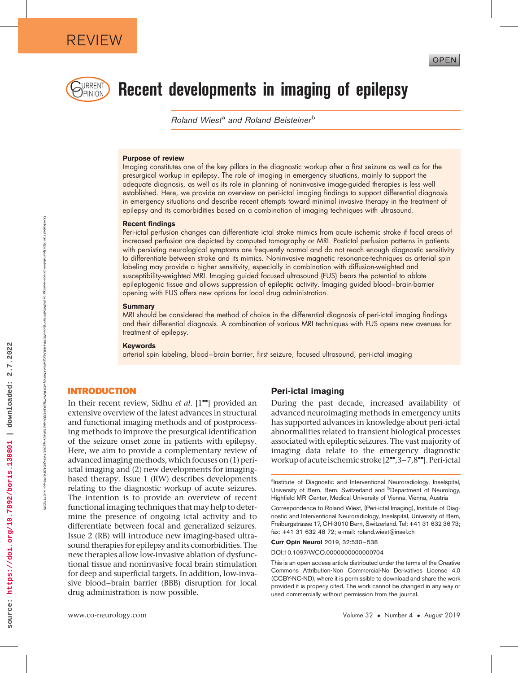

Downloaded from

https://journals.lww.com/co-neurology

হ

BhDMf5ePHKav1zEoum1tQfN4a+kJLhEZgbsIHo4XMi0hCywCX1AWnYQp/IlQrHD3bhnalqTQiPsfqYrvpZ07/Ll1vIHvgkC4ZBYOf4ltnec=

**IWW** 

on 07/17/2019

17/2011

# URRENT) Recent developments in imaging of epilepsy

Roland Wiest<sup>a</sup> and Roland Beisteiner<sup>b</sup>

#### Purpose of review

Imaging constitutes one of the key pillars in the diagnostic workup after a first seizure as well as for the presurgical workup in epilepsy. The role of imaging in emergency situations, mainly to support the adequate diagnosis, as well as its role in planning of noninvasive image-guided therapies is less well established. Here, we provide an overview on peri-ictal imaging findings to support differential diagnosis in emergency situations and describe recent attempts toward minimal invasive therapy in the treatment of epilepsy and its comorbidities based on a combination of imaging techniques with ultrasound.

#### Recent findings

Peri-ictal perfusion changes can differentiate ictal stroke mimics from acute ischemic stroke if focal areas of increased perfusion are depicted by computed tomography or MRI. Postictal perfusion patterns in patients with persisting neurological symptoms are frequently normal and do not reach enough diagnostic sensitivity to differentiate between stroke and its mimics. Noninvasive magnetic resonance-techniques as arterial spin labeling may provide a higher sensitivity, especially in combination with diffusion-weighted and susceptibility-weighted MRI. Imaging guided focused ultrasound (FUS) bears the potential to ablate epileptogenic tissue and allows suppression of epileptic activity. Imaging guided blood–brain-barrier opening with FUS offers new options for local drug administration.

#### **Summary**

MRI should be considered the method of choice in the differential diagnosis of peri-ictal imaging findings and their differential diagnosis. A combination of various MRI techniques with FUS opens new avenues for treatment of epilepsy.

#### **Keywords**

arterial spin labeling, blood–brain barrier, first seizure, focused ultrasound, peri-ictal imaging

#### INTRODUCTION

In their recent review, Sidhu et al.  $[1\bullet]$  provided an extensive overview of the latest advances in structural and functional imaging methods and of postprocessing methods to improve the presurgical identification of the seizure onset zone in patients with epilepsy. Here, we aim to provide a complementary review of advanced imagingmethods, which focuses on (1) periictal imaging and (2) new developments for imagingbased therapy. Issue 1 (RW) describes developments relating to the diagnostic workup of acute seizures. The intention is to provide an overview of recent functional imaging techniques that may help to determine the presence of ongoing ictal activity and to differentiate between focal and generalized seizures. Issue 2 (RB) will introduce new imaging-based ultrasound therapies for epilepsy and its comorbidities. The new therapies allow low-invasive ablation of dysfunctional tissue and noninvasive focal brain stimulation for deep and superficial targets. In addition, low-invasive blood–brain barrier (BBB) disruption for local drug administration is now possible.

#### Peri-ictal imaging

During the past decade, increased availability of advanced neuroimaging methods in emergency units has supported advances in knowledge about peri-ictal abnormalities related to transient biological processes associated with epileptic seizures. The vast majority of imaging data relate to the emergency diagnostic workup of acute ischemic stroke [2"",3-7,8""]. Peri-ictal

Curr Opin Neurol 2019, 32:530–538

DOI:10.1097/WCO.0000000000000704

This is an open access article distributed under the terms of the Creative Commons Attribution-Non Commercial-No Derivatives License 4.0 (CCBY-NC-ND), where it is permissible to download and share the work provided it is properly cited. The work cannot be changed in any way or used commercially without permission from the journal.

www.co-neurology.com

<sup>&</sup>lt;sup>a</sup>Institute of Diagnostic and Interventional Neuroradiology, Inselspital, University of Bern, Bern, Switzerland and <sup>b</sup>Department of Neurology, Highfield MR Center, Medical University of Vienna, Vienna, Austria

Correspondence to Roland Wiest, (Peri-ictal Imaging), Institute of Diagnostic and Interventional Neuroradiology, Inselspital, University of Bern, Freiburgstrasse 17, CH-3010 Bern, Switzerland. Tel: +41 31 632 36 73; fax: +41 31 632 48 72; e-mail: [roland.wiest@insel.ch](mailto:roland.wiest@insel.ch)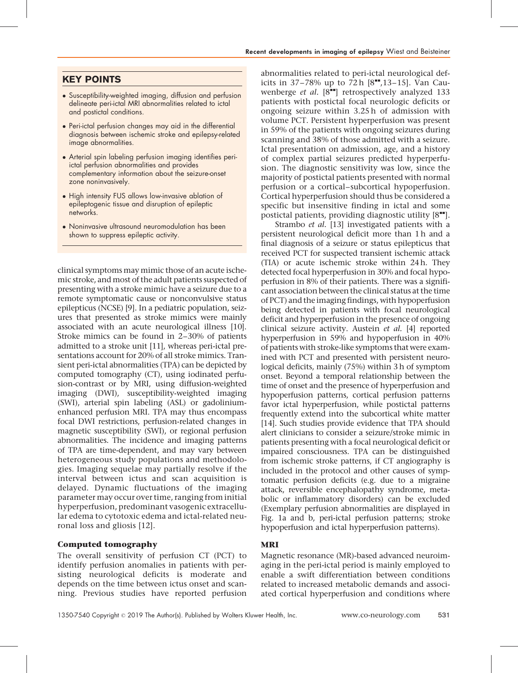## KEY POINTS

- Susceptibility-weighted imaging, diffusion and perfusion delineate peri-ictal MRI abnormalities related to ictal and postictal conditions.
- Peri-ictal perfusion changes may aid in the differential diagnosis between ischemic stroke and epilepsy-related image abnormalities.
- Arterial spin labeling perfusion imaging identifies periictal perfusion abnormalities and provides complementary information about the seizure-onset zone noninvasively.
- High intensity FUS allows low-invasive ablation of epileptogenic tissue and disruption of epileptic networks.
- Noninvasive ultrasound neuromodulation has been shown to suppress epileptic activity.

clinical symptoms may mimic those of an acute ischemic stroke, and most of the adult patients suspected of presenting with a stroke mimic have a seizure due to a remote symptomatic cause or nonconvulsive status epilepticus (NCSE) [9]. In a pediatric population, seizures that presented as stroke mimics were mainly associated with an acute neurological illness [10]. Stroke mimics can be found in 2–30% of patients admitted to a stroke unit [11], whereas peri-ictal presentations account for 20% of all stroke mimics. Transient peri-ictal abnormalities (TPA) can be depicted by computed tomography (CT), using iodinated perfusion-contrast or by MRI, using diffusion-weighted imaging (DWI), susceptibility-weighted imaging (SWI), arterial spin labeling (ASL) or gadoliniumenhanced perfusion MRI. TPA may thus encompass focal DWI restrictions, perfusion-related changes in magnetic susceptibility (SWI), or regional perfusion abnormalities. The incidence and imaging patterns of TPA are time-dependent, and may vary between heterogeneous study populations and methodologies. Imaging sequelae may partially resolve if the interval between ictus and scan acquisition is delayed. Dynamic fluctuations of the imaging parameter may occur over time, ranging from initial hyperperfusion, predominant vasogenic extracellular edema to cytotoxic edema and ictal-related neuronal loss and gliosis [12].

## Computed tomography

The overall sensitivity of perfusion CT (PCT) to identify perfusion anomalies in patients with persisting neurological deficits is moderate and depends on the time between ictus onset and scanning. Previous studies have reported perfusion

abnormalities related to peri-ictal neurological deficits in 37–78% up to 72 h  $[8"$ ,13–15]. Van Cauwenberge et al.  $[8\text{m}$  retrospectively analyzed 133 patients with postictal focal neurologic deficits or ongoing seizure within 3.25 h of admission with volume PCT. Persistent hyperperfusion was present in 59% of the patients with ongoing seizures during scanning and 38% of those admitted with a seizure. Ictal presentation on admission, age, and a history of complex partial seizures predicted hyperperfusion. The diagnostic sensitivity was low, since the majority of postictal patients presented with normal perfusion or a cortical–subcortical hypoperfusion. Cortical hyperperfusion should thus be considered a specific but insensitive finding in ictal and some postictal patients, providing diagnostic utility  $[8"']$ .

Strambo et al. [13] investigated patients with a persistent neurological deficit more than 1 h and a final diagnosis of a seizure or status epilepticus that received PCT for suspected transient ischemic attack (TIA) or acute ischemic stroke within 24 h. They detected focal hyperperfusion in 30% and focal hypoperfusion in 8% of their patients. There was a significant association between the clinical status at the time of PCT) and the imaging findings, with hypoperfusion being detected in patients with focal neurological deficit and hyperperfusion in the presence of ongoing clinical seizure activity. Austein et al. [4] reported hyperperfusion in 59% and hypoperfusion in 40% of patients with stroke-like symptoms that were examined with PCT and presented with persistent neurological deficits, mainly (75%) within 3 h of symptom onset. Beyond a temporal relationship between the time of onset and the presence of hyperperfusion and hypoperfusion patterns, cortical perfusion patterns favor ictal hyperperfusion, while postictal patterns frequently extend into the subcortical white matter [14]. Such studies provide evidence that TPA should alert clinicians to consider a seizure/stroke mimic in patients presenting with a focal neurological deficit or impaired consciousness. TPA can be distinguished from ischemic stroke patterns, if CT angiography is included in the protocol and other causes of symptomatic perfusion deficits (e.g. due to a migraine attack, reversible encephalopathy syndrome, metabolic or inflammatory disorders) can be excluded (Exemplary perfusion abnormalities are displayed in Fig. 1a and b, peri-ictal perfusion patterns; stroke hypoperfusion and ictal hyperperfusion patterns).

## MRI

Magnetic resonance (MR)-based advanced neuroimaging in the peri-ictal period is mainly employed to enable a swift differentiation between conditions related to increased metabolic demands and associated cortical hyperperfusion and conditions where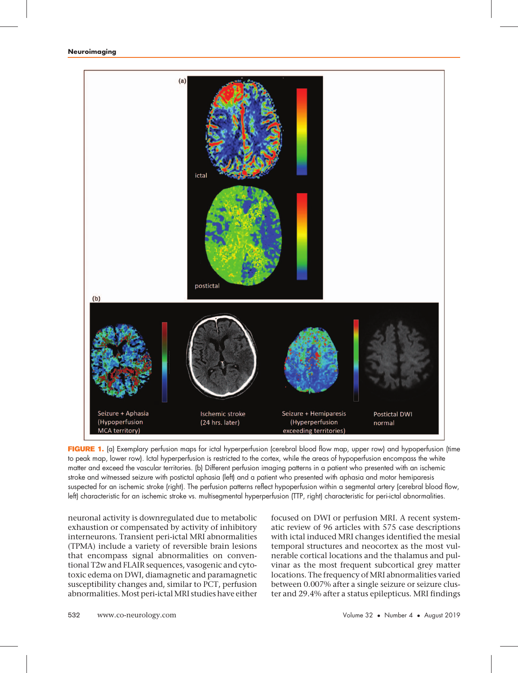

FIGURE 1. (a) Exemplary perfusion maps for ictal hyperperfusion (cerebral blood flow map, upper row) and hypoperfusion (time to peak map, lower row). Ictal hyperperfusion is restricted to the cortex, while the areas of hypoperfusion encompass the white matter and exceed the vascular territories. (b) Different perfusion imaging patterns in a patient who presented with an ischemic stroke and witnessed seizure with postictal aphasia (left) and a patient who presented with aphasia and motor hemiparesis suspected for an ischemic stroke (right). The perfusion patterns reflect hypoperfusion within a segmental artery (cerebral blood flow, left) characteristic for an ischemic stroke vs. multisegmental hyperperfusion (TTP, right) characteristic for peri-ictal abnormalities.

neuronal activity is downregulated due to metabolic exhaustion or compensated by activity of inhibitory interneurons. Transient peri-ictal MRI abnormalities (TPMA) include a variety of reversible brain lesions that encompass signal abnormalities on conventional T2w and FLAIR sequences, vasogenic and cytotoxic edema on DWI, diamagnetic and paramagnetic susceptibility changes and, similar to PCT, perfusion abnormalities.Most peri-ictalMRI studies have either

focused on DWI or perfusion MRI. A recent systematic review of 96 articles with 575 case descriptions with ictal induced MRI changes identified the mesial temporal structures and neocortex as the most vulnerable cortical locations and the thalamus and pulvinar as the most frequent subcortical grey matter locations. The frequency of MRI abnormalities varied between 0.007% after a single seizure or seizure cluster and 29.4% after a status epilepticus. MRI findings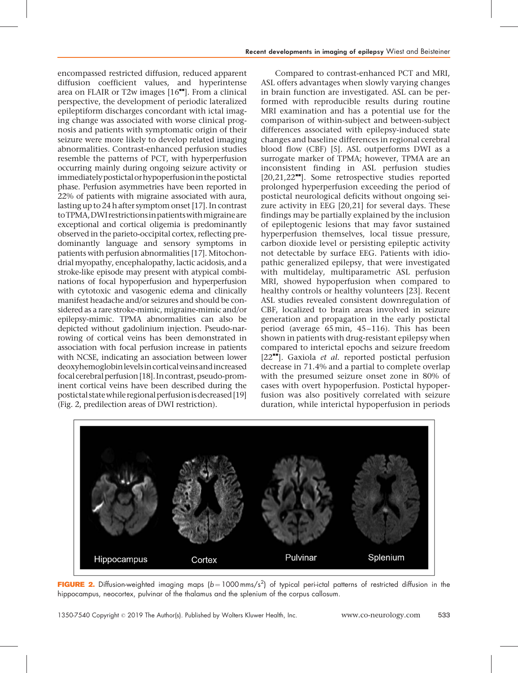encompassed restricted diffusion, reduced apparent diffusion coefficient values, and hyperintense area on FLAIR or T2w images  $[16"$ . From a clinical perspective, the development of periodic lateralized epileptiform discharges concordant with ictal imaging change was associated with worse clinical prognosis and patients with symptomatic origin of their seizure were more likely to develop related imaging abnormalities. Contrast-enhanced perfusion studies resemble the patterns of PCT, with hyperperfusion occurring mainly during ongoing seizure activity or immediatelypostictalorhypoperfusion in thepostictal phase. Perfusion asymmetries have been reported in 22% of patients with migraine associated with aura, lasting up to 24 h after symptom onset [17]. In contrast toTPMA,DWIrestrictions inpatientswithmigraineare exceptional and cortical oligemia is predominantly observed in the parieto-occipital cortex, reflecting predominantly language and sensory symptoms in patients with perfusion abnormalities [17]. Mitochondrial myopathy, encephalopathy, lactic acidosis, and a stroke-like episode may present with atypical combinations of focal hypoperfusion and hyperperfusion with cytotoxic and vasogenic edema and clinically manifest headache and/or seizures and should be considered as a rare stroke-mimic, migraine-mimic and/or epilepsy-mimic. TPMA abnormalities can also be depicted without gadolinium injection. Pseudo-narrowing of cortical veins has been demonstrated in association with focal perfusion increase in patients with NCSE, indicating an association between lower deoxyhemoglobin levels incorticalveinsand increased focal cerebral perfusion [18]. In contrast, pseudo-prominent cortical veins have been described during the postictal state while regional perfusion is decreased [19] (Fig. 2, predilection areas of DWI restriction).

Compared to contrast-enhanced PCT and MRI, ASL offers advantages when slowly varying changes in brain function are investigated. ASL can be performed with reproducible results during routine MRI examination and has a potential use for the comparison of within-subject and between-subject differences associated with epilepsy-induced state changes and baseline differences in regional cerebral blood flow (CBF) [5]. ASL outperforms DWI as a surrogate marker of TPMA; however, TPMA are an inconsistent finding in ASL perfusion studies [20,21,22<sup>\*</sup>]. Some retrospective studies reported prolonged hyperperfusion exceeding the period of postictal neurological deficits without ongoing seizure activity in EEG [20,21] for several days. These findings may be partially explained by the inclusion of epileptogenic lesions that may favor sustained hyperperfusion themselves, local tissue pressure, carbon dioxide level or persisting epileptic activity not detectable by surface EEG. Patients with idiopathic generalized epilepsy, that were investigated with multidelay, multiparametric ASL perfusion MRI, showed hypoperfusion when compared to healthy controls or healthy volunteers [23]. Recent ASL studies revealed consistent downregulation of CBF, localized to brain areas involved in seizure generation and propagation in the early postictal period (average 65 min, 45–116). This has been shown in patients with drug-resistant epilepsy when compared to interictal epochs and seizure freedom  $[22$ <sup> $\blacksquare$ </sup>]. Gaxiola *et al.* reported postictal perfusion decrease in 71.4% and a partial to complete overlap with the presumed seizure onset zone in 80% of cases with overt hypoperfusion. Postictal hypoperfusion was also positively correlated with seizure duration, while interictal hypoperfusion in periods



FIGURE 2. Diffusion-weighted imaging maps ( $b = 1000$ mms/s<sup>2</sup>) of typical peri-ictal patterns of restricted diffusion in the hippocampus, neocortex, pulvinar of the thalamus and the splenium of the corpus callosum.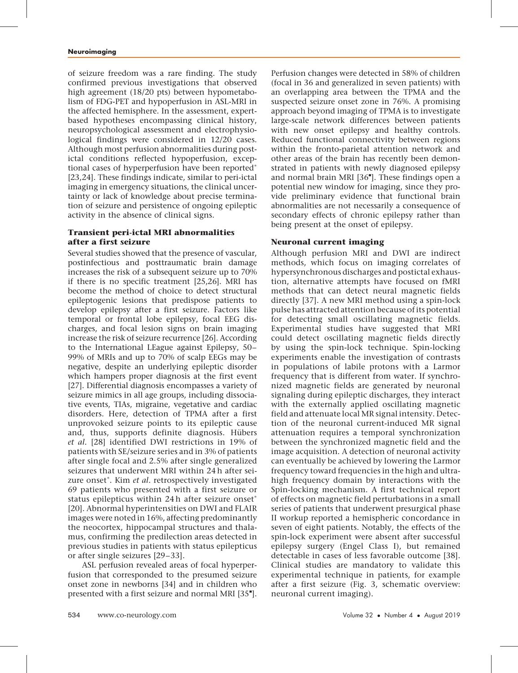of seizure freedom was a rare finding. The study confirmed previous investigations that observed high agreement (18/20 pts) between hypometabolism of FDG-PET and hypoperfusion in ASL-MRI in the affected hemisphere. In the assessment, expertbased hypotheses encompassing clinical history, neuropsychological assessment and electrophysiological findings were considered in 12/20 cases. Although most perfusion abnormalities during postictal conditions reflected hypoperfusion, exceptional cases of hyperperfusion have been reported [23,24]. These findings indicate, similar to peri-ictal imaging in emergency situations, the clinical uncertainty or lack of knowledge about precise termination of seizure and persistence of ongoing epileptic activity in the absence of clinical signs.

## Transient peri-ictal MRI abnormalities after a first seizure

Several studies showed that the presence of vascular, postinfectious and posttraumatic brain damage increases the risk of a subsequent seizure up to 70% if there is no specific treatment [25,26]. MRI has become the method of choice to detect structural epileptogenic lesions that predispose patients to develop epilepsy after a first seizure. Factors like temporal or frontal lobe epilepsy, focal EEG discharges, and focal lesion signs on brain imaging increase the risk of seizure recurrence [26]. According to the International LEague against Epilepsy, 50– 99% of MRIs and up to 70% of scalp EEGs may be negative, despite an underlying epileptic disorder which hampers proper diagnosis at the first event [27]. Differential diagnosis encompasses a variety of seizure mimics in all age groups, including dissociative events, TIAs, migraine, vegetative and cardiac disorders. Here, detection of TPMA after a first unprovoked seizure points to its epileptic cause and, thus, supports definite diagnosis. Hübers et al. [28] identified DWI restrictions in 19% of patients with SE/seizure series and in 3% of patients after single focal and 2.5% after single generalized seizures that underwent MRI within 24 h after seizure onset\*. Kim et al. retrospectively investigated 69 patients who presented with a first seizure or status epilepticus within 24 h after seizure onset [20]. Abnormal hyperintensities on DWI and FLAIR images were noted in 16%, affecting predominantly the neocortex, hippocampal structures and thalamus, confirming the predilection areas detected in previous studies in patients with status epilepticus or after single seizures [29–33].

ASL perfusion revealed areas of focal hyperperfusion that corresponded to the presumed seizure onset zone in newborns [34] and in children who presented with a first seizure and normal MRI [35"].

Perfusion changes were detected in 58% of children (focal in 36 and generalized in seven patients) with an overlapping area between the TPMA and the suspected seizure onset zone in 76%. A promising approach beyond imaging of TPMA is to investigate large-scale network differences between patients with new onset epilepsy and healthy controls. Reduced functional connectivity between regions within the fronto-parietal attention network and other areas of the brain has recently been demonstrated in patients with newly diagnosed epilepsy and normal brain MRI [36"]. These findings open a potential new window for imaging, since they provide preliminary evidence that functional brain abnormalities are not necessarily a consequence of secondary effects of chronic epilepsy rather than being present at the onset of epilepsy.

## Neuronal current imaging

Although perfusion MRI and DWI are indirect methods, which focus on imaging correlates of hypersynchronous discharges and postictal exhaustion, alternative attempts have focused on fMRI methods that can detect neural magnetic fields directly [37]. A new MRI method using a spin-lock pulse has attracted attention because of its potential for detecting small oscillating magnetic fields. Experimental studies have suggested that MRI could detect oscillating magnetic fields directly by using the spin-lock technique. Spin-locking experiments enable the investigation of contrasts in populations of labile protons with a Larmor frequency that is different from water. If synchronized magnetic fields are generated by neuronal signaling during epileptic discharges, they interact with the externally applied oscillating magnetic field and attenuate local MR signal intensity. Detection of the neuronal current-induced MR signal attenuation requires a temporal synchronization between the synchronized magnetic field and the image acquisition. A detection of neuronal activity can eventually be achieved by lowering the Larmor frequency toward frequencies in the high and ultrahigh frequency domain by interactions with the Spin-locking mechanism. A first technical report of effects on magnetic field perturbations in a small series of patients that underwent presurgical phase II workup reported a hemispheric concordance in seven of eight patients. Notably, the effects of the spin-lock experiment were absent after successful epilepsy surgery (Engel Class I), but remained detectable in cases of less favorable outcome [38]. Clinical studies are mandatory to validate this experimental technique in patients, for example after a first seizure (Fig. 3, schematic overview: neuronal current imaging).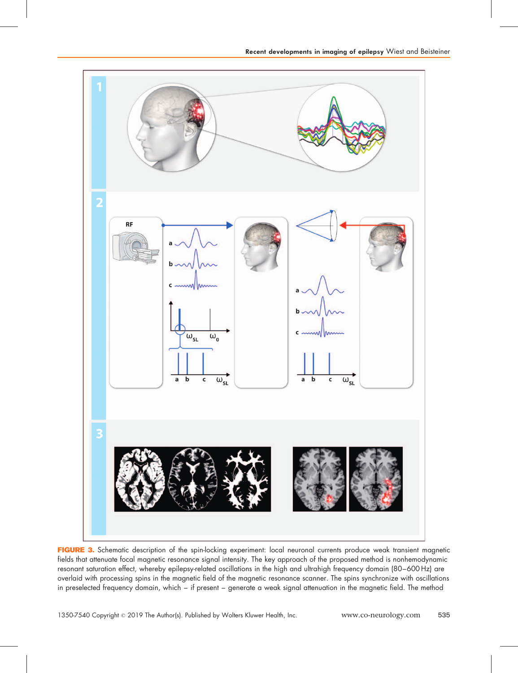

FIGURE 3. Schematic description of the spin-locking experiment: local neuronal currents produce weak transient magnetic fields that attenuate focal magnetic resonance signal intensity. The key approach of the proposed method is nonhemodynamic resonant saturation effect, whereby epilepsy-related oscillations in the high and ultrahigh frequency domain (80–600 Hz) are overlaid with processing spins in the magnetic field of the magnetic resonance scanner. The spins synchronize with oscillations in preselected frequency domain, which – if present – generate a weak signal attenuation in the magnetic field. The method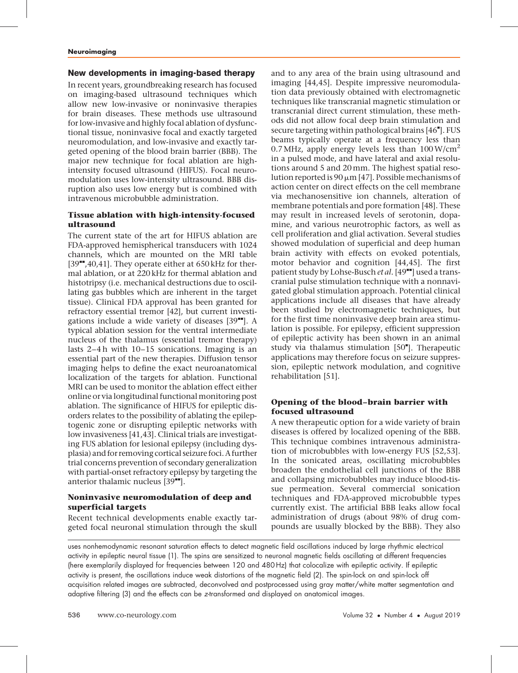## New developments in imaging-based therapy

In recent years, groundbreaking research has focused on imaging-based ultrasound techniques which allow new low-invasive or noninvasive therapies for brain diseases. These methods use ultrasound for low-invasive and highly focal ablation of dysfunctional tissue, noninvasive focal and exactly targeted neuromodulation, and low-invasive and exactly targeted opening of the blood brain barrier (BBB). The major new technique for focal ablation are highintensity focused ultrasound (HIFUS). Focal neuromodulation uses low-intensity ultrasound. BBB disruption also uses low energy but is combined with intravenous microbubble administration.

## Tissue ablation with high-intensity-focused ultrasound

The current state of the art for HIFUS ablation are FDA-approved hemispherical transducers with 1024 channels, which are mounted on the MRI table  $[39$ <sup> $\text{I}$ </sup>,40,41]. They operate either at 650 kHz for thermal ablation, or at 220 kHz for thermal ablation and histotripsy (i.e. mechanical destructions due to oscillating gas bubbles which are inherent in the target tissue). Clinical FDA approval has been granted for refractory essential tremor [42], but current investigations include a wide variety of diseases  $[39$ <sup> $H$ </sup>]. A typical ablation session for the ventral intermediate nucleus of the thalamus (essential tremor therapy) lasts 2–4 h with 10–15 sonications. Imaging is an essential part of the new therapies. Diffusion tensor imaging helps to define the exact neuroanatomical localization of the targets for ablation. Functional MRI can be used to monitor the ablation effect either online or via longitudinal functional monitoring post ablation. The significance of HIFUS for epileptic disorders relates to the possibility of ablating the epileptogenic zone or disrupting epileptic networks with low invasiveness [41,43]. Clinical trials are investigating FUS ablation for lesional epilepsy (including dysplasia) and for removing cortical seizure foci.A further trial concerns prevention of secondary generalization with partial-onset refractory epilepsy by targeting the anterior thalamic nucleus  $[39$ <sup> $H$ </sup>].

## Noninvasive neuromodulation of deep and superficial targets

Recent technical developments enable exactly targeted focal neuronal stimulation through the skull

and to any area of the brain using ultrasound and imaging [44,45]. Despite impressive neuromodulation data previously obtained with electromagnetic techniques like transcranial magnetic stimulation or transcranial direct current stimulation, these methods did not allow focal deep brain stimulation and secure targeting within pathological brains [46"]. FUS beams typically operate at a frequency less than 0.7 MHz, apply energy levels less than  $100 \,\mathrm{W/cm^2}$ in a pulsed mode, and have lateral and axial resolutions around 5 and 20mm. The highest spatial resolution reported is 90  $\mu$ m [47]. Possible mechanisms of action center on direct effects on the cell membrane via mechanosensitive ion channels, alteration of membrane potentials and pore formation [48]. These may result in increased levels of serotonin, dopamine, and various neurotrophic factors, as well as cell proliferation and glial activation. Several studies showed modulation of superficial and deep human brain activity with effects on evoked potentials, motor behavior and cognition [44,45]. The first patient study by Lohse-Busch et al. [49<sup>-•</sup>] used a transcranial pulse stimulation technique with a nonnavigated global stimulation approach. Potential clinical applications include all diseases that have already been studied by electromagnetic techniques, but for the first time noninvasive deep brain area stimulation is possible. For epilepsy, efficient suppression of epileptic activity has been shown in an animal study via thalamus stimulation [50"]. Therapeutic applications may therefore focus on seizure suppression, epileptic network modulation, and cognitive rehabilitation [51].

## Opening of the blood–brain barrier with focused ultrasound

A new therapeutic option for a wide variety of brain diseases is offered by localized opening of the BBB. This technique combines intravenous administration of microbubbles with low-energy FUS [52,53]. In the sonicated areas, oscillating microbubbles broaden the endothelial cell junctions of the BBB and collapsing microbubbles may induce blood-tissue permeation. Several commercial sonication techniques and FDA-approved microbubble types currently exist. The artificial BBB leaks allow focal administration of drugs (about 98% of drug compounds are usually blocked by the BBB). They also

uses nonhemodynamic resonant saturation effects to detect magnetic field oscillations induced by large rhythmic electrical activity in epileptic neural tissue (1). The spins are sensitized to neuronal magnetic fields oscillating at different frequencies (here exemplarily displayed for frequencies between 120 and 480 Hz) that colocalize with epileptic activity. If epileptic activity is present, the oscillations induce weak distortions of the magnetic field (2). The spin-lock on and spin-lock off acquisition related images are subtracted, deconvolved and postprocessed using gray matter/white matter segmentation and adaptive filtering (3) and the effects can be z-transformed and displayed on anatomical images.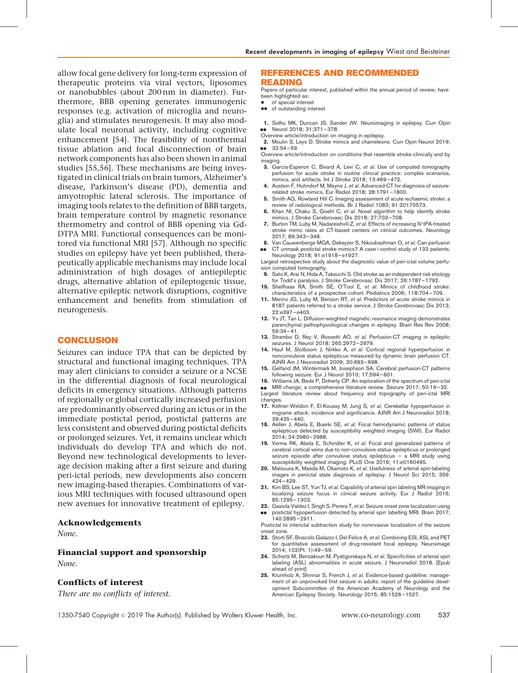allow focal gene delivery for long-term expression of therapeutic proteins via viral vectors, liposomes or nanobubbles (about 200 nm in diameter). Furthermore, BBB opening generates immunogenic responses (e.g. activation of microglia and neuroglia) and stimulates neurogenesis. It may also modulate local neuronal activity, including cognitive enhancement [54]. The feasibility of nonthermal tissue ablation and focal disconnection of brain network components has also been shown in animal studies [55,56]. These mechanisms are being investigated in clinical trials on brain tumors, Alzheimer's disease, Parkinson's disease (PD), dementia and amyotrophic lateral sclerosis. The importance of imaging tools relates to the definition of BBB targets, brain temperature control by magnetic resonance thermometry and control of BBB opening via Gd-DTPA MRI. Functional consequences can be monitored via functional MRI [57]. Although no specific studies on epilepsy have yet been published, therapeutically applicable mechanisms may include local administration of high dosages of antiepileptic drugs, alternative ablation of epileptogenic tissue, alternative epileptic network disruptions, cognitive enhancement and benefits from stimulation of neurogenesis.

#### CONCLUSION

Seizures can induce TPA that can be depicted by structural and functional imaging techniques. TPA may alert clinicians to consider a seizure or a NCSE in the differential diagnosis of focal neurological deficits in emergency situations. Although patterns of regionally or global cortically increased perfusion are predominantly observed during an ictus or in the immediate postictal period, postictal patterns are less consistent and observed during postictal deficits or prolonged seizures. Yet, it remains unclear which individuals do develop TPA and which do not. Beyond new technological developments to leverage decision making after a first seizure and during peri-ictal periods, new developments also concern new imaging-based therapies. Combinations of various MRI techniques with focused ultrasound open new avenues for innovative treatment of epilepsy.

#### Acknowledgements

 $N$  $one$ 

#### Financial support and sponsorship

None.

#### Conflicts of interest

There are no conflicts of interest.

#### REFERENCES AND RECOMMENDED READING

Papers of particular interest, published within the annual period of review, have been highlighted as:

- of special interest
- $\Box$  of outstanding interest

1. Sidhu MK, Duncan JS, Sander JW. Neuroimaging in epilepsy. Curr Opin ■■ Neurol 2018; 31:371-378.

Overview article/introduction on imaging in epilepsy.

2. Moulin S, Leys D. Stroke mimics and chameleons. Curr Opin Neurol 2019;  $\blacksquare$  32:54–59.

Overview article/introduction on conditions that resemble stroke clinically and by imaging.

- 3. Garcia-Esperon C, Bivard A, Levi C, et al. Use of computed tomography perfusion for acute stroke in routine clinical practice: complex scenarios, mimics, and artifacts. Int J Stroke 2018; 13:469–472.
- 4. Austein F, Huhndorf M, Meyne J, et al. Advanced CT for diagnosis of seizurerelated stroke mimics. Eur Radiol 2018; 28:1791–1800.
- 5. Smith AG, Rowland Hill C. Imaging assessment of acute ischaemic stroke: a review of radiological methods. Br J Radiol 1083; 91:20170573.
- 6. Khan NI, Chaku S, Goehl C, et al. Novel algorithm to help identify stroke mimics. J Stroke Cerebrovasc Dis 2018; 27:703–708.
- 7. Burton TM, Luby M, Nadareishvili Z, et al. Effects of increasing IV tPA-treated stroke mimic rates at CT-based centers on clinical outcomes. Neurology 2017; 89:343–348.
- 8. Van Cauwenberge MGA, Dekeyzer S, Nikoubashman O, et al. Can perfusion && CT unmask postictal stroke mimics? A case–control study of 133 patients. Neurology 2018; 91:e1918–e1927.

Largest retrospective study about the diagnostic value of peri-ictal volume perfusion computed tomography.

- 9. Sato K, Arai N, Hida A, Takeuchi S. Old stroke as an independent risk etiology for Todd's paralysis. J Stroke Cerebrovasc Dis 2017; 26:1787–1792.
- 10. Shellhaas RA, Smith SE, O'Tool E, et al. Mimics of childhood stroke: characteristics of a prospective cohort. Pediatrics 2006; 118:704–709.
- 11. Merino JG, Luby M, Benson RT, et al. Predictors of acute stroke mimics in 8187 patients referred to a stroke service. J Stroke Cerebrovasc Dis 2013; 22:e397–e403.
- 12. Yu JT, Tan L. Diffusion-weighted magnetic resonance imaging demonstrates parenchymal pathophysiological changes in epilepsy. Brain Res Rev 2008; 59:34–41.
- 13. Strambo D, Rey V, Rossetti AO, et al. Perfusion-CT imaging in epileptic seizures. J Neurol 2018; 265:2972–2979.
- 14. Hauf M, Slotboom J, Nirkko A, et al. Cortical regional hyperperfusion in nonconvulsive status epilepticus measured by dynamic brain perfusion CT. AJNR Am J Neuroradiol 2009; 30:693–698.
- 15. Gelfand JM, Wintermark M, Josephson SA. Cerebral perfusion-CT patterns following seizure. Eur J Neurol 2010; 17:594–601.
- 16. Williams JA, Bede P, Doherty CP. An exploration of the spectrum of peri-ictal

■■ MRI change; a comprehensive literature review. Seizure 2017; 50:19-32. Largest literature review about frequency and topography of peri-ictal MRI changes.

- 17. Kellner-Weldon F, El-Koussy M, Jung S, et al. Cerebellar hypoperfusion in migraine attack: incidence and significance. AJNR Am J Neuroradiol 2018; 39:435–440.
- 18. Aellen J, Abela E, Buerki SE, et al. Focal hemodynamic patterns of status epilepticus detected by susceptibility weighted imaging (SWI). Eur Radiol 2014; 24:2980–2988.
- 19. Verma RK, Abela E, Schindler K, et al. Focal and generalized patterns of cerebral cortical veins due to non-convulsive status epilepticus or prolonged seizure episode after convulsive status epilepticus – a MRI study using susceptibility weighted imaging. PLoS One 2016; 11:e0160495.
- 20. Matsuura K, Maeda M, Okamoto K, et al. Usefulness of arterial spin-labeling images in periictal state diagnosis of epilepsy. J Neurol Sci 2015; 359: 424–429.
- 21. Kim BS, Lee ST, Yun TJ, et al. Capability of arterial spin labeling MR imaging in localizing seizure focus in clinical seizure activity. Eur J Radiol 2016; 85:1295–1303.
- 22. Gaxiola-Valdez I, Singh S, Perera T, et al. Seizure onset zone localization using
- **BE** postictal hypoperfusion detected by arterial spin labelling MRI. Brain 2017; 140:2895–2911.

Postictal to interictal subtraction study for noninvasive localization of the seizure onset zone.

- 23. Storti SF, Boscolo Galazzo I, Del Felice A, et al. Combining ESI, ASL and PET for quantitative assessment of drug-resistant focal epilepsy. Neuroimage 2014; 102(Pt. 1):49–59.
- 24. Schertz M, Benzakoun M, Pyatigorskaya N, et al. Specificities of arterial spin labeling (ASL) abnormalities in acute seizure. J Neuroradiol 2018. [Epub ahead of print]
- 25. Krumholz A, Shinnar S, French J, et al. Evidence-based guideline: management of an unprovoked first seizure in adults: report of the guideline development Subcommittee of the American Academy of Neurology and the American Epilepsy Society. Neurology 2015; 85:1526–1527.